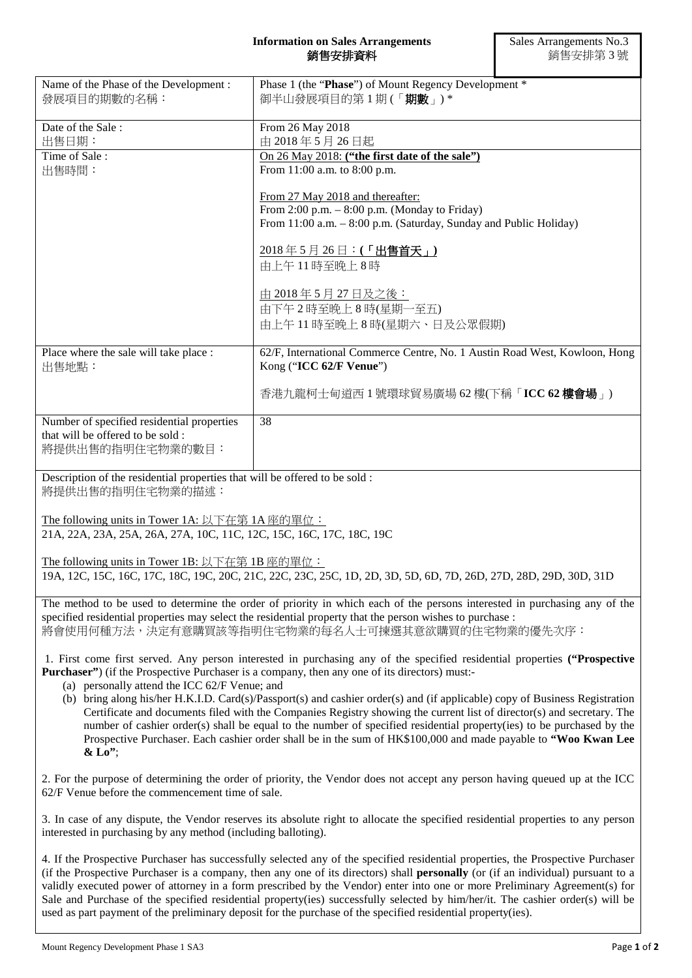## **Information on Sales Arrangements** 銷售安排資料

| Name of the Phase of the Development:<br>發展項目的期數的名稱:                                                                                                                                                                                                                                                                                                                                                                                                                                                                                                                                                                                                                                                                                                                                                | Phase 1 (the "Phase") of Mount Regency Development *<br>御半山發展項目的第1期(「期數」)*                                                                                                                                                                                                                |
|-----------------------------------------------------------------------------------------------------------------------------------------------------------------------------------------------------------------------------------------------------------------------------------------------------------------------------------------------------------------------------------------------------------------------------------------------------------------------------------------------------------------------------------------------------------------------------------------------------------------------------------------------------------------------------------------------------------------------------------------------------------------------------------------------------|-------------------------------------------------------------------------------------------------------------------------------------------------------------------------------------------------------------------------------------------------------------------------------------------|
| Date of the Sale:<br>出售日期:                                                                                                                                                                                                                                                                                                                                                                                                                                                                                                                                                                                                                                                                                                                                                                          | From 26 May 2018<br>由 2018年5月26日起                                                                                                                                                                                                                                                         |
| Time of Sale:<br>出售時間:                                                                                                                                                                                                                                                                                                                                                                                                                                                                                                                                                                                                                                                                                                                                                                              | On 26 May 2018: ("the first date of the sale")<br>From 11:00 a.m. to 8:00 p.m.                                                                                                                                                                                                            |
|                                                                                                                                                                                                                                                                                                                                                                                                                                                                                                                                                                                                                                                                                                                                                                                                     | From 27 May 2018 and thereafter:<br>From $2:00$ p.m. $-8:00$ p.m. (Monday to Friday)<br>From 11:00 a.m. - 8:00 p.m. (Saturday, Sunday and Public Holiday)<br>2018年5月26日: (「出售首天」)<br>由上午11時至晚上8時                                                                                          |
|                                                                                                                                                                                                                                                                                                                                                                                                                                                                                                                                                                                                                                                                                                                                                                                                     | 由 2018年5月27日及之後:<br>由下午2時至晚上8時(星期一至五)<br>由上午11時至晚上8時(星期六、日及公眾假期)                                                                                                                                                                                                                          |
| Place where the sale will take place :<br>出售地點:                                                                                                                                                                                                                                                                                                                                                                                                                                                                                                                                                                                                                                                                                                                                                     | 62/F, International Commerce Centre, No. 1 Austin Road West, Kowloon, Hong<br>Kong ("ICC 62/F Venue")                                                                                                                                                                                     |
|                                                                                                                                                                                                                                                                                                                                                                                                                                                                                                                                                                                                                                                                                                                                                                                                     | 香港九龍柯士甸道西 1 號環球貿易廣場 62 樓(下稱「ICC 62 樓會場」)                                                                                                                                                                                                                                                  |
| Number of specified residential properties<br>that will be offered to be sold :<br>將提供出售的指明住宅物業的數目:                                                                                                                                                                                                                                                                                                                                                                                                                                                                                                                                                                                                                                                                                                 | 38                                                                                                                                                                                                                                                                                        |
| Description of the residential properties that will be offered to be sold :<br>將提供出售的指明住宅物業的描述:                                                                                                                                                                                                                                                                                                                                                                                                                                                                                                                                                                                                                                                                                                     |                                                                                                                                                                                                                                                                                           |
| The following units in Tower 1A: 以下在第 1A 座的單位:<br>21A, 22A, 23A, 25A, 26A, 27A, 10C, 11C, 12C, 15C, 16C, 17C, 18C, 19C                                                                                                                                                                                                                                                                                                                                                                                                                                                                                                                                                                                                                                                                              |                                                                                                                                                                                                                                                                                           |
| The following units in Tower 1B: 以下在第 1B 座的單位:<br>19A, 12C, 15C, 16C, 17C, 18C, 19C, 20C, 21C, 22C, 23C, 25C, 1D, 2D, 3D, 5D, 6D, 7D, 26D, 27D, 28D, 29D, 30D, 31D                                                                                                                                                                                                                                                                                                                                                                                                                                                                                                                                                                                                                                  |                                                                                                                                                                                                                                                                                           |
|                                                                                                                                                                                                                                                                                                                                                                                                                                                                                                                                                                                                                                                                                                                                                                                                     | The method to be used to determine the order of priority in which each of the persons interested in purchasing any of the<br>specified residential properties may select the residential property that the person wishes to purchase :<br>將會使用何種方法,決定有意購買該等指明住宅物業的每名人士可揀選其意欲購買的住宅物業的優先次序: |
| 1. First come first served. Any person interested in purchasing any of the specified residential properties ("Prospective<br><b>Purchaser</b> ") (if the Prospective Purchaser is a company, then any one of its directors) must:-<br>(a) personally attend the ICC 62/F Venue; and<br>(b) bring along his/her H.K.I.D. Card(s)/Passport(s) and cashier order(s) and (if applicable) copy of Business Registration<br>Certificate and documents filed with the Companies Registry showing the current list of director(s) and secretary. The<br>number of cashier order(s) shall be equal to the number of specified residential property(ies) to be purchased by the<br>Prospective Purchaser. Each cashier order shall be in the sum of HK\$100,000 and made payable to "Woo Kwan Lee<br>$&$ Lo"; |                                                                                                                                                                                                                                                                                           |
| 62/F Venue before the commencement time of sale.                                                                                                                                                                                                                                                                                                                                                                                                                                                                                                                                                                                                                                                                                                                                                    | 2. For the purpose of determining the order of priority, the Vendor does not accept any person having queued up at the ICC                                                                                                                                                                |
| interested in purchasing by any method (including balloting).                                                                                                                                                                                                                                                                                                                                                                                                                                                                                                                                                                                                                                                                                                                                       | 3. In case of any dispute, the Vendor reserves its absolute right to allocate the specified residential properties to any person                                                                                                                                                          |

4. If the Prospective Purchaser has successfully selected any of the specified residential properties, the Prospective Purchaser (if the Prospective Purchaser is a company, then any one of its directors) shall **personally** (or (if an individual) pursuant to a validly executed power of attorney in a form prescribed by the Vendor) enter into one or more Preliminary Agreement(s) for Sale and Purchase of the specified residential property(ies) successfully selected by him/her/it. The cashier order(s) will be used as part payment of the preliminary deposit for the purchase of the specified residential property(ies).